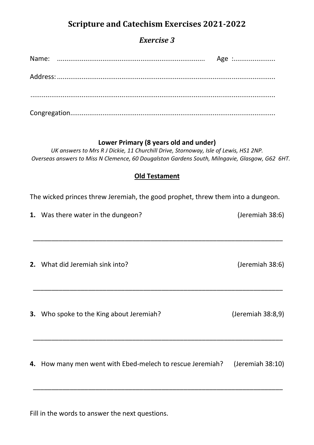# **Scripture and Catechism Exercises 2021-2022**

# *Exercise 3*

|  | Age : |
|--|-------|
|  |       |
|  |       |
|  |       |
|  |       |

#### **Lower Primary (8 years old and under)**

*UK answers to Mrs R J Dickie, 11 Churchill Drive, Stornoway, Isle of Lewis, HS1 2NP. Overseas answers to Miss N Clemence, 60 Dougalston Gardens South, Milngavie, Glasgow, G62 6HT.* 

## **Old Testament**

The wicked princes threw Jeremiah, the good prophet, threw them into a dungeon.

\_\_\_\_\_\_\_\_\_\_\_\_\_\_\_\_\_\_\_\_\_\_\_\_\_\_\_\_\_\_\_\_\_\_\_\_\_\_\_\_\_\_\_\_\_\_\_\_\_\_\_\_\_\_\_\_\_\_\_\_\_\_\_\_\_\_\_\_

**1.** Was there water in the dungeon? (Jeremiah 38:6)

**2.** What did Jeremiah sink into? (Jeremiah 38:6)

**3.** Who spoke to the King about Jeremiah? (Jeremiah 38:8,9)

**4.** How many men went with Ebed-melech to rescue Jeremiah? (Jeremiah 38:10)

\_\_\_\_\_\_\_\_\_\_\_\_\_\_\_\_\_\_\_\_\_\_\_\_\_\_\_\_\_\_\_\_\_\_\_\_\_\_\_\_\_\_\_\_\_\_\_\_\_\_\_\_\_\_\_\_\_\_\_\_\_\_\_\_\_\_\_\_

\_\_\_\_\_\_\_\_\_\_\_\_\_\_\_\_\_\_\_\_\_\_\_\_\_\_\_\_\_\_\_\_\_\_\_\_\_\_\_\_\_\_\_\_\_\_\_\_\_\_\_\_\_\_\_\_\_\_\_\_\_\_\_\_\_\_\_\_

Fill in the words to answer the next questions.

\_\_\_\_\_\_\_\_\_\_\_\_\_\_\_\_\_\_\_\_\_\_\_\_\_\_\_\_\_\_\_\_\_\_\_\_\_\_\_\_\_\_\_\_\_\_\_\_\_\_\_\_\_\_\_\_\_\_\_\_\_\_\_\_\_\_\_\_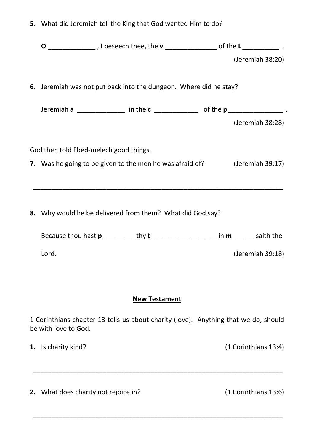|                                                                                                                     |                                                                   |  |  |  |  | $\mathbf{O}_{\text{________}}$ , I beseech thee, the $\mathbf{v}_{\text{________}}$ of the $\mathbf{L}_{\text{________}}$ . |  |  |
|---------------------------------------------------------------------------------------------------------------------|-------------------------------------------------------------------|--|--|--|--|-----------------------------------------------------------------------------------------------------------------------------|--|--|
|                                                                                                                     |                                                                   |  |  |  |  | (Jeremiah 38:20)                                                                                                            |  |  |
|                                                                                                                     | 6. Jeremiah was not put back into the dungeon. Where did he stay? |  |  |  |  |                                                                                                                             |  |  |
|                                                                                                                     |                                                                   |  |  |  |  | Jeremiah $a$ ________________ in the $c$ _____________ of the $p$ ____________________.                                     |  |  |
|                                                                                                                     |                                                                   |  |  |  |  | (Jeremiah 38:28)                                                                                                            |  |  |
| God then told Ebed-melech good things.<br>7. Was he going to be given to the men he was afraid of? (Jeremiah 39:17) |                                                                   |  |  |  |  |                                                                                                                             |  |  |
|                                                                                                                     |                                                                   |  |  |  |  |                                                                                                                             |  |  |
|                                                                                                                     | 8. Why would he be delivered from them? What did God say?         |  |  |  |  |                                                                                                                             |  |  |
|                                                                                                                     |                                                                   |  |  |  |  |                                                                                                                             |  |  |

**5.** What did Jeremiah tell the King that God wanted Him to do?

## **New Testament**

1 Corinthians chapter 13 tells us about charity (love). Anything that we do, should be with love to God.

\_\_\_\_\_\_\_\_\_\_\_\_\_\_\_\_\_\_\_\_\_\_\_\_\_\_\_\_\_\_\_\_\_\_\_\_\_\_\_\_\_\_\_\_\_\_\_\_\_\_\_\_\_\_\_\_\_\_\_\_\_\_\_\_\_\_\_\_

\_\_\_\_\_\_\_\_\_\_\_\_\_\_\_\_\_\_\_\_\_\_\_\_\_\_\_\_\_\_\_\_\_\_\_\_\_\_\_\_\_\_\_\_\_\_\_\_\_\_\_\_\_\_\_\_\_\_\_\_\_\_\_\_\_\_\_\_

**1.** Is charity kind? (1 Corinthians 13:4)

**2.** What does charity not rejoice in? (1 Corinthians 13:6)